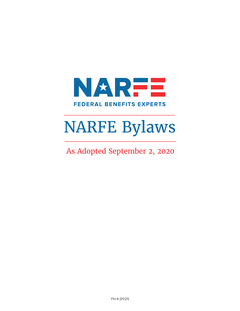

# NARFE Bylaws

As Adopted September 2, 2020

FH-4 (01/21)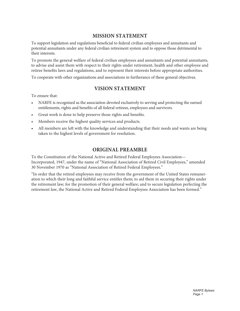## **MISSION STATEMENT**

To support legislation and regulations beneficial to federal civilian employees and annuitants and potential annuitants under any federal civilian retirement system and to oppose those detrimental to their interests.

To promote the general welfare of federal civilian employees and annuitants and potential annuitants, to advise and assist them with respect to their rights under retirement, health and other employee and retiree benefits laws and regulations, and to represent their interests before appropriate authorities.

To cooperate with other organizations and associations in furtherance of these general objectives.

#### **VISION STATEMENT**

To ensure that:

- NARFE is recognized as the association devoted exclusively to serving and protecting the earned entitlements, rights and benefits of all federal retirees, employees and survivors.
- Great work is done to help preserve those rights and benefits.
- Members receive the highest quality services and products.
- All members are left with the knowledge and understanding that their needs and wants are being taken to the highest levels of government for resolution.

#### **ORIGINAL PREAMBLE**

To the Constitution of the National Active and Retired Federal Employees Association— Incorporated, 1947, under the name of "National Association of Retired Civil Employees," amended 30 November 1970 as "National Association of Retired Federal Employees."

"In order that the retired employees may receive from the government of the United States remuneration to which their long and faithful service entitles them; to aid them in securing their rights under the retirement law; for the promotion of their general welfare; and to secure legislation perfecting the retirement law, the National Active and Retired Federal Employees Association has been formed."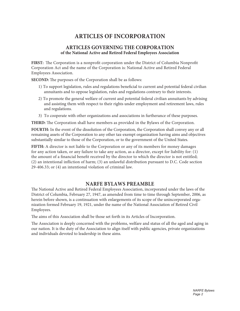## **ARTICLES OF INCORPORATION**

#### **ARTICLES GOVERNING THE CORPORATION of the National Active and Retired Federal Employees Association**

**FIRST:** The Corporation is a nonprofit corporation under the District of Columbia Nonprofit Corporation Act and the name of the Corporation is: National Active and Retired Federal Employees Association.

**SECOND:** The purposes of the Corporation shall be as follows:

- 1) To support legislation, rules and regulations beneficial to current and potential federal civilian annuitants and to oppose legislation, rules and regulations contrary to their interests.
- 2) To promote the general welfare of current and potential federal civilian annuitants by advising and assisting them with respect to their rights under employment and retirement laws, rules and regulations.
- 3) To cooperate with other organizations and associations in furtherance of these purposes.

**THIRD:** The Corporation shall have members as provided in the Bylaws of the Corporation.

**FOURTH:** In the event of the dissolution of the Corporation, the Corporation shall convey any or all remaining assets of the Corporation to any other tax-exempt organization having aims and objectives substantially similar to those of the Corporation, or to the government of the United States.

**FIFTH:** A director is not liable to the Corporation or any of its members for money damages for any action taken, or any failure to take any action, as a director, except for liability for: (1) the amount of a financial benefit received by the director to which the director is not entitled; (2) an intentional infliction of harm; (3) an unlawful distribution pursuant to D.C. Code section 29-406.33; or (4) an intentional violation of criminal law.

#### **NARFE BYLAWS PREAMBLE**

The National Active and Retired Federal Employees Association, incorporated under the laws of the District of Columbia, February 27, 1947, as amended from time to time through September, 2006, as herein before shown, is a continuation with enlargements of its scope of the unincorporated organization formed February 19, 1921, under the name of the National Association of Retired Civil Employees.

The aims of this Association shall be those set forth in its Articles of Incorporation.

The Association is deeply concerned with the problems, welfare and status of all the aged and aging in our nation. It is the duty of the Association to align itself with public agencies, private organizations and individuals devoted to leadership in these aims.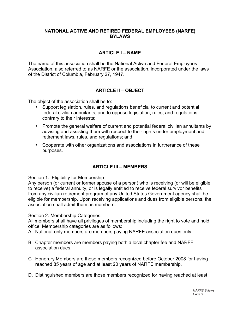#### **NATIONAL ACTIVE AND RETIRED FEDERAL EMPLOYEES (NARFE) BYLAWS**

### **ARTICLE I – NAME**

The name of this association shall be the National Active and Federal Employees Association, also referred to as NARFE or the association, incorporated under the laws of the District of Columbia, February 27, 1947.

## **ARTICLE II – OBJECT**

The object of the association shall be to:

- Support legislation, rules, and regulations beneficial to current and potential federal civilian annuitants, and to oppose legislation, rules, and regulations contrary to their interests;
- Promote the general welfare of current and potential federal civilian annuitants by advising and assisting them with respect to their rights under employment and retirement laws, rules, and regulations; and
- Cooperate with other organizations and associations in furtherance of these purposes.

## **ARTICLE III – MEMBERS**

#### Section 1. Eligibility for Membership

Any person (or current or former spouse of a person) who is receiving (or will be eligible to receive) a federal annuity, or is legally entitled to receive federal survivor benefits from any civilian retirement program of any United States Government agency shall be eligible for membership. Upon receiving applications and dues from eligible persons, the association shall admit them as members.

#### Section 2. Membership Categories.

All members shall have all privileges of membership including the right to vote and hold office. Membership categories are as follows:

- A. National-only members are members paying NARFE association dues only.
- B. Chapter members are members paying both a local chapter fee and NARFE association dues.
- C Honorary Members are those members recognized before October 2008 for having reached 85 years of age and at least 20 years of NARFE membership.
- D. Distinguished members are those members recognized for having reached at least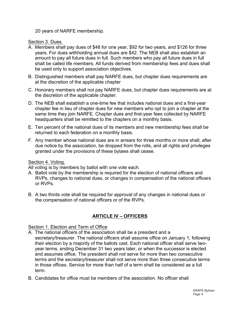20 years of NARFE membership.

Section 3. Dues.

- A. Members shall pay dues of \$48 for one year, \$92 for two years, and \$126 for three years. For dues withholding annual dues are \$42. The NEB shall also establish an amount to pay all future dues in full. Such members who pay all future dues in full shall be called life members. All funds derived from membership fees and dues shall be used only to support association objectives.
- B. Distinguished members shall pay NARFE dues, but chapter dues requirements are at the discretion of the applicable chapter
- C. Honorary members shall not pay NARFE dues, but chapter dues requirements are at the discretion of the applicable chapter.
- D. The NEB shall establish a one-time fee that includes national dues and a first-year chapter fee in lieu of chapter dues for new members who opt to join a chapter at the same time they join NARFE. Chapter dues and first-year fees collected by NARFE headquarters shall be remitted to the chapters on a monthly basis.
- E. Ten percent of the national dues of its members and new membership fees shall be returned to each federation on a monthly basis.
- F. Any member whose national dues are in arrears for three months or more shall, after due notice by the association, be dropped from the rolls, and all rights and privileges granted under the provisions of these bylaws shall cease.

Section 4. Voting.

- All voting is by members by ballot with one vote each.
- A. Ballot vote by the membership is required for the election of national officers and RVPs, changes to national dues, or changes in compensation of the national officers or RVPs.
- B. A two thirds vote shall be required for approval of any changes in national dues or the compensation of national officers or of the RVPs.

## **ARTICLE IV – OFFICERS**

#### Section 1. Election and Term of Office

- A. The national officers of the association shall be a president and a secretary/treasurer. The national officers shall assume office on January 1, following their election by a majority of the ballots cast. Each national officer shall serve twoyear terms, ending December 31 two years later, or when the successor is elected and assumes office. The president shall not serve for more than two consecutive terms and the secretary/treasurer shall not serve more than three consecutive terms in those offices. Service for more than half of a term shall be considered as a full term.
- B. Candidates for office must be members of the association. No officer shall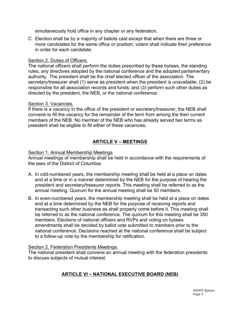simultaneously hold office in any chapter or any federation.

C. Election shall be by a majority of ballots cast except that when there are three or more candidates for the same office or position, voters shall indicate their preference in order for each candidate.

#### Section 2. Duties of Officers.

The national officers shall perform the duties prescribed by these bylaws, the standing rules, any directives adopted by the national conference and the adopted parliamentary authority. The president shall be the chief elected officer of the association. The secretary/treasurer shall (1) serve as president when the president is unavailable; (2) be responsible for all association records and funds; and (3) perform such other duties as directed by the president, the NEB, or the national conference.

#### Section 3. Vacancies.

If there is a vacancy in the office of the president or secretary/treasurer, the NEB shall convene to fill the vacancy for the remainder of the term from among the then current members of the NEB. No member of the NEB who has already served two terms as president shall be eligible to fill either of these vacancies.

## **ARTICLE V – MEETINGS**

#### Section 1. Annual Membership Meetings

Annual meetings of membership shall be held in accordance with the requirements of the laws of the District of Columbia.

- A. In odd-numbered years, the membership meeting shall be held at a place on dates and at a time or in a manner determined by the NEB for the purpose of hearing the president and secretary/treasurer reports. This meeting shall be referred to as the annual meeting. Quorum for the annual meeting shall be 50 members.
- B. In even-numbered years, the membership meeting shall be held at a place on dates and at a time determined by the NEB for the purpose of receiving reports and transacting such other business as shall properly come before it. This meeting shall be referred to as the national conference. The quorum for this meeting shall be 350 members. Elections of national officers and RVPs and voting on bylaws amendments shall be decided by ballot vote submitted to members prior to the national conference. Decisions reached at the national conference shall be subject to a follow-up vote by the membership for ratification.

#### Section 2. Federation Presidents Meetings.

The national president shall convene an annual meeting with the federation presidents to discuss subjects of mutual interest.

## **ARTICLE VI – NATIONAL EXECUTIVE BOARD (NEB)**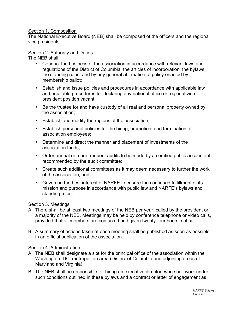#### Section 1. Composition

The National Executive Board (NEB) shall be composed of the officers and the regional vice presidents.

#### Section 2. Authority and Duties

The NEB shall:

- Conduct the business of the association in accordance with relevant laws and regulations of the District of Columbia, the articles of incorporation, the bylaws, the standing rules, and by any general affirmation of policy enacted by membership ballot;
- Establish and issue policies and procedures in accordance with applicable law and equitable procedures for declaring any national office or regional vice president position vacant;
- Be the trustee for and have custody of all real and personal property owned by the association;
- Establish and modify the regions of the association;
- Establish personnel policies for the hiring, promotion, and termination of association employees;
- Determine and direct the manner and placement of investments of the association funds;
- Order annual or more frequent audits to be made by a certified public accountant recommended by the audit committee;
- Create such additional committees as it may deem necessary to further the work of the association; and
- Govern in the best interest of NARFE to ensure the continued fulfillment of its mission and purpose in accordance with public law and NARFE's bylaws and standing rules.

#### Section 3. Meetings

- A. There shall be at least two meetings of the NEB per year, called by the president or a majority of the NEB. Meetings may be held by conference telephone or video calls, provided that all members are contacted and given twenty-four hours' notice.
- B. A summary of actions taken at each meeting shall be published as soon as possible in an official publication of the association.

#### Section 4. Administration

- A. The NEB shall designate a site for the principal office of the association within the Washington, DC, metropolitan area (District of Columbia and adjoining areas of Maryland and Virginia).
- B. The NEB shall be responsible for hiring an executive director, who shall work under such conditions outlined in these bylaws and a contract or letter of engagement as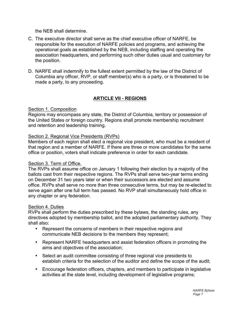the NEB shall determine.

- C. The executive director shall serve as the chief executive officer of NARFE, be responsible for the execution of NARFE policies and programs, and achieving the operational goals as established by the NEB, including staffing and operating the association headquarters, and performing such other duties usual and customary for the position.
- D. NARFE shall indemnify to the fullest extent permitted by the law of the District of Columbia any officer, RVP, or staff member(s) who is a party, or is threatened to be made a party, to any proceeding.

## **ARTICLE VII - REGIONS**

#### Section 1. Composition

Regions may encompass any state, the District of Columbia, territory or possession of the United States or foreign country. Regions shall promote membership recruitment and retention and leadership training.

#### Section 2. Regional Vice Presidents (RVPs)

Members of each region shall elect a regional vice president, who must be a resident of that region and a member of NARFE. If there are three or more candidates for the same office or position, voters shall indicate preference in order for each candidate.

#### Section 3. Term of Office.

The RVPs shall assume office on January 1 following their election by a majority of the ballots cast from their respective regions. The RVPs shall serve two-year terms ending on December 31 two years later or when their successors are elected and assume office. RVPs shall serve no more than three consecutive terms, but may be re-elected to serve again after one full term has passed. No RVP shall simultaneously hold office in any chapter or any federation.

#### Section 4. Duties

RVPs shall perform the duties prescribed by these bylaws, the standing rules, any directives adopted by membership ballot, and the adopted parliamentary authority. They shall also:

- Represent the concerns of members in their respective regions and communicate NEB decisions to the members they represent;
- Represent NARFE headquarters and assist federation officers in promoting the aims and objectives of the association;
- Select an audit committee consisting of three regional vice presidents to establish criteria for the selection of the auditor and define the scope of the audit;
- Encourage federation officers, chapters, and members to participate in legislative activities at the state level, including development of legislative programs;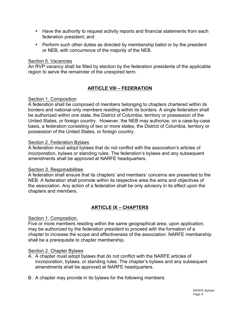- Have the authority to request activity reports and financial statements from each federation president; and
- Perform such other duties as directed by membership ballot or by the president or NEB, with concurrence of the majority of the NEB.

#### Section 5. Vacancies

An RVP vacancy shall be filled by election by the federation presidents of the applicable region to serve the remainder of the unexpired term.

## **ARTICLE VIII – FEDERATION**

#### Section 1. Composition

A federation shall be composed of members belonging to chapters chartered within its borders and national-only members residing within its borders. A single federation shall be authorized within one state, the District of Columbia, territory or possession of the United States, or foreign country. However, the NEB may authorize, on a case-by-case basis, a federation consisting of two or more states, the District of Columbia, territory or possession of the United States, or foreign country.

#### Section 2. Federation Bylaws

A federation must adopt bylaws that do not conflict with the association's articles of incorporation, bylaws or standing rules. The federation's bylaws and any subsequent amendments shall be approved at NARFE headquarters.

#### Section 3. Responsibilities

A federation shall ensure that its chapters' and members' concerns are presented to the NEB. A federation shall promote within its respective area the aims and objectives of the association. Any action of a federation shall be only advisory in its effect upon the chapters and members.

## **ARTICLE IX – CHAPTERS**

#### Section 1. Composition.

Five or more members residing within the same geographical area, upon application, may be authorized by the federation president to proceed with the formation of a chapter to increase the scope and effectiveness of the association. NARFE membership shall be a prerequisite to chapter membership.

#### Section 2. Chapter Bylaws

- A. A chapter must adopt bylaws that do not conflict with the NARFE articles of incorporation, bylaws, or standing rules. The chapter's bylaws and any subsequent amendments shall be approved at NARFE headquarters.
- B. A chapter may provide in its bylaws for the following members: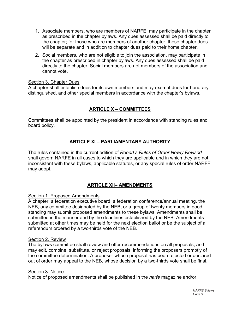- 1. Associate members, who are members of NARFE, may participate in the chapter as prescribed in the chapter bylaws. Any dues assessed shall be paid directly to the chapter; for those who are members of another chapter, these chapter dues will be separate and in addition to chapter dues paid to their home chapter.
- 2. Social members, who are not eligible to join the association, may participate in the chapter as prescribed in chapter bylaws. Any dues assessed shall be paid directly to the chapter. Social members are not members of the association and cannot vote.

#### Section 3. Chapter Dues

A chapter shall establish dues for its own members and may exempt dues for honorary, distinguished, and other special members in accordance with the chapter's bylaws.

## **ARTICLE X – COMMITTEES**

Committees shall be appointed by the president in accordance with standing rules and board policy.

## **ARTICLE XI – PARLIAMENTARY AUTHORITY**

The rules contained in the current edition of *Robert's Rules of Order Newly Revised* shall govern NARFE in all cases to which they are applicable and in which they are not inconsistent with these bylaws, applicable statutes, or any special rules of order NARFE may adopt.

#### **ARTICLE XII– AMENDMENTS**

#### Section 1. Proposed Amendments

A chapter, a federation executive board, a federation conference/annual meeting, the NEB, any committee designated by the NEB, or a group of twenty members in good standing may submit proposed amendments to these bylaws. Amendments shall be submitted in the manner and by the deadlines established by the NEB. Amendments submitted at other times may be held for the next election ballot or be the subject of a referendum ordered by a two-thirds vote of the NEB.

#### Section 2. Review

The bylaws committee shall review and offer recommendations on all proposals, and may edit, combine, substitute, or reject proposals, informing the proposers promptly of the committee determination. A proposer whose proposal has been rejected or declared out of order may appeal to the NEB, whose decision by a two-thirds vote shall be final.

#### Section 3. Notice

Notice of proposed amendments shall be published in the *narfe* magazine and/or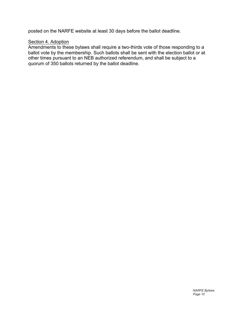posted on the NARFE website at least 30 days before the ballot deadline.

#### Section 4. Adoption

Amendments to these bylaws shall require a two-thirds vote of those responding to a ballot vote by the membership. Such ballots shall be sent with the election ballot or at other times pursuant to an NEB authorized referendum, and shall be subject to a quorum of 350 ballots returned by the ballot deadline.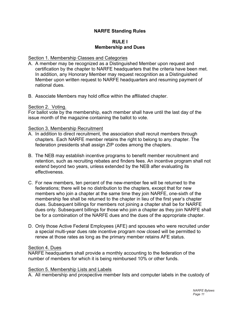### **NARFE Standing Rules**

#### **RULE I Membership and Dues**

#### Section 1. Membership Classes and Categories

- A. A member may be recognized as a Distinguished Member upon request and certification by the chapter to NARFE headquarters that the criteria have been met. In addition, any Honorary Member may request recognition as a Distinguished Member upon written request to NARFE headquarters and resuming payment of national dues.
- B. Associate Members may hold office within the affiliated chapter.

#### Section 2. Voting.

For ballot vote by the membership, each member shall have until the last day of the issue month of the magazine containing the ballot to vote.

#### Section 3. Membership Recruitment

- A. In addition to direct recruitment, the association shall recruit members through chapters. Each NARFE member retains the right to belong to any chapter. The federation presidents shall assign ZIP codes among the chapters.
- B. The NEB may establish incentive programs to benefit member recruitment and retention, such as recruiting rebates and finders fees. An incentive program shall not extend beyond two years, unless extended by the NEB after evaluating its effectiveness.
- C. For new members, ten percent of the new-member fee will be returned to the federations; there will be no distribution to the chapters, except that for new members who join a chapter at the same time they join NARFE, one-sixth of the membership fee shall be returned to the chapter in lieu of the first year's chapter dues. Subsequent billings for members not joining a chapter shall be for NARFE dues only. Subsequent billings for those who join a chapter as they join NARFE shall be for a combination of the NARFE dues and the dues of the appropriate chapter.
- D. Only those Active Federal Employees (AFE) and spouses who were recruited under a special multi-year dues rate incentive program now closed will be permitted to renew at those rates as long as the primary member retains AFE status.

#### Section 4. Dues

NARFE headquarters shall provide a monthly accounting to the federation of the number of members for which it is being reimbursed 10% or other funds.

#### Section 5. Membership Lists and Labels

A. All membership and prospective member lists and computer labels in the custody of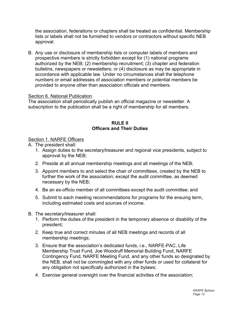the association, federations or chapters shall be treated as confidential. Membership lists or labels shall not be furnished to vendors or contractors without specific NEB approval.

B. Any use or disclosure of membership lists or computer labels of members and prospective members is strictly forbidden except for (1) national programs authorized by the NEB; (2) membership recruitment; (3) chapter and federation bulletins, newspapers or newsletters; or (4) disclosure as may be appropriate in accordance with applicable law. Under no circumstances shall the telephone numbers or email addresses of association members or potential members be provided to anyone other than association officials and members.

#### Section 6. National Publication

The association shall periodically publish an official magazine or newsletter. A subscription to the publication shall be a right of membership for all members.

#### **RULE II Officers and Their Duties**

#### Section 1. NARFE Officers

- A. The president shall:
	- 1. Assign duties to the secretary/treasurer and regional vice presidents, subject to approval by the NEB;
	- 2. Preside at all annual membership meetings and all meetings of the NEB;
	- 3. Appoint members to and select the chair of committees, created by the NEB to further the work of the association; except the audit committee, as deemed necessary by the NEB;
	- 4. Be an ex-officio member of all committees except the audit committee; and
	- 5. Submit to each meeting recommendations for programs for the ensuing term, including estimated costs and sources of income.
- B. The secretary/treasurer shall:
	- 1. Perform the duties of the president in the temporary absence or disability of the president;
	- 2. Keep true and correct minutes of all NEB meetings and records of all membership meetings;
	- 3. Ensure that the association's dedicated funds, i.e., NARFE-PAC, Life Membership Trust Fund, Joe Woodruff Memorial Building Fund, NARFE Contingency Fund, NARFE Meeting Fund, and any other funds so designated by the NEB, shall not be commingled with any other funds or used for collateral for any obligation not specifically authorized in the bylaws;
	- 4. Exercise general oversight over the financial activities of the association;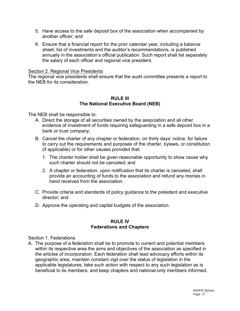- 5. Have access to the safe deposit box of the association when accompanied by another officer; and
- 6. Ensure that a financial report for the prior calendar year, including a balance sheet, list of investments and the auditor's recommendations, is published annually in the association's official publication. Such report shall list separately the salary of each officer and regional vice president.

#### Section 2. Regional Vice Presidents

The regional vice presidents shall ensure that the audit committee presents a report to the NEB for its consideration.

#### **RULE III The National Executive Board (NEB)**

The NEB shall be responsible to:

- A. Direct the storage of all securities owned by the association and all other evidence of investment of funds requiring safeguarding in a safe deposit box in a bank or trust company;
- B. Cancel the charter of any chapter or federation, on thirty days' notice, for failure to carry out the requirements and purposes of the charter, bylaws, or constitution (if applicable) or for other causes provided that:
	- 1. The charter holder shall be given reasonable opportunity to show cause why such charter should not be canceled; and
	- 2. A chapter or federation, upon notification that its charter is canceled, shall provide an accounting of funds to the association and refund any monies in hand received from the association.
- C. Provide criteria and standards of policy guidance to the president and executive director; and
- D. Approve the operating and capital budgets of the association.

#### **RULE IV Federations and Chapters**

Section 1. Federations

A. The purpose of a federation shall be to promote to current and potential members within its respective area the aims and objectives of the association as specified in the articles of incorporation. Each federation shall lead advocacy efforts within its geographic area, maintain constant vigil over the status of legislation in the applicable legislatures, take such action with respect to any such legislation as is beneficial to its members, and keep chapters and national-only members informed.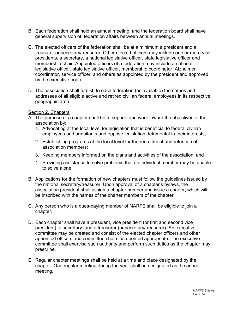- B. Each federation shall hold an annual meeting, and the federation board shall have general supervision of federation affairs between annual meetings.
- C. The elected officers of the federation shall be at a minimum a president and a treasurer or secretary/treasurer. Other elected officers may include one or more vice presidents, a secretary, a national legislative officer, state legislative officer and membership chair. Appointed officers of a federation may include a national legislative officer, state legislative officer, membership coordinator, Alzheimer coordinator, service officer, and others as appointed by the president and approved by the executive board.
- D. The association shall furnish to each federation (as available) the names and addresses of all eligible active and retired civilian federal employees in its respective geographic area.

#### Section 2. Chapters

- A. The purpose of a chapter shall be to support and work toward the objectives of the association by:
	- 1. Advocating at the local level for legislation that is beneficial to federal civilian employees and annuitants and oppose legislation detrimental to their interests;
	- 2. Establishing programs at the local level for the recruitment and retention of association members;
	- 3. Keeping members informed on the plans and activities of the association; and
	- 4. Providing assistance to solve problems that an individual member may be unable to solve alone.
- B. Applications for the formation of new chapters must follow the guidelines issued by the national secretary/treasurer. Upon approval of a chapter's bylaws, the association president shall assign a chapter number and issue a charter, which will be inscribed with the names of the charter members of the chapter.
- C. Any person who is a dues-paying member of NARFE shall be eligible to join a chapter.
- D. Each chapter shall have a president, vice president (or first and second vice president), a secretary, and a treasurer (or secretary/treasurer). An executive committee may be created and consist of the elected chapter officers and other appointed officers and committee chairs as deemed appropriate. The executive committee shall exercise such authority and perform such duties as the chapter may prescribe.
- E. Regular chapter meetings shall be held at a time and place designated by the chapter. One regular meeting during the year shall be designated as the annual meeting.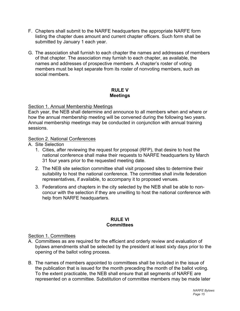- F. Chapters shall submit to the NARFE headquarters the appropriate NARFE form listing the chapter dues amount and current chapter officers. Such form shall be submitted by January 1 each year.
- G. The association shall furnish to each chapter the names and addresses of members of that chapter. The association may furnish to each chapter, as available, the names and addresses of prospective members. A chapter's roster of voting members must be kept separate from its roster of nonvoting members, such as social members.

#### **RULE V Meetings**

#### Section 1. Annual Membership Meetings

Each year, the NEB shall determine and announce to all members when and where or how the annual membership meeting will be convened during the following two years. Annual membership meetings may be conducted in conjunction with annual training sessions.

#### Section 2. National Conferences

- A. Site Selection
	- 1. Cities, after reviewing the request for proposal (RFP), that desire to host the national conference shall make their requests to NARFE headquarters by March 31 four years prior to the requested meeting date.
	- 2. The NEB site selection committee shall visit proposed sites to determine their suitability to host the national conference. The committee shall invite federation representatives, if available, to accompany it to proposed venues.
	- 3. Federations and chapters in the city selected by the NEB shall be able to nonconcur with the selection if they are unwilling to host the national conference with help from NARFE headquarters.

#### **RULE VI Committees**

#### Section 1. Committees

- A. Committees as are required for the efficient and orderly review and evaluation of bylaws amendments shall be selected by the president at least sixty days prior to the opening of the ballot voting process.
- B. The names of members appointed to committees shall be included in the issue of the publication that is issued for the month preceding the month of the ballot voting. To the extent practicable, the NEB shall ensure that all segments of NARFE are represented on a committee. Substitution of committee members may be made later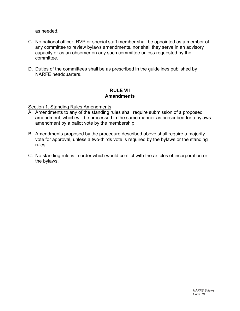as needed.

- C. No national officer, RVP or special staff member shall be appointed as a member of any committee to review bylaws amendments, nor shall they serve in an advisory capacity or as an observer on any such committee unless requested by the committee.
- D. Duties of the committees shall be as prescribed in the guidelines published by NARFE headquarters.

#### **RULE VII Amendments**

#### Section 1. Standing Rules Amendments

- A. Amendments to any of the standing rules shall require submission of a proposed amendment, which will be processed in the same manner as prescribed for a bylaws amendment by a ballot vote by the membership.
- B. Amendments proposed by the procedure described above shall require a majority vote for approval, unless a two-thirds vote is required by the bylaws or the standing rules.
- C. No standing rule is in order which would conflict with the articles of incorporation or the bylaws.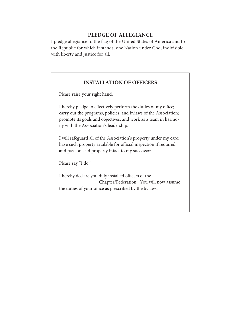## **PLEDGE OF ALLEGIANCE**

I pledge allegiance to the flag of the United States of America and to the Republic for which it stands, one Nation under God, indivisible, with liberty and justice for all.

## **INSTALLATION OF OFFICERS**

Please raise your right hand.

I hereby pledge to effectively perform the duties of my office; carry out the programs, policies, and bylaws of the Association; promote its goals and objectives; and work as a team in harmony with the Association's leadership.

I will safeguard all of the Association's property under my care; have such property available for official inspection if required; and pass on said property intact to my successor.

Please say "I do."

I hereby declare you duly installed officers of the \_\_\_\_\_\_\_\_\_\_\_\_\_\_\_\_\_Chapter/Federation. You will now assume the duties of your office as prescribed by the bylaws.